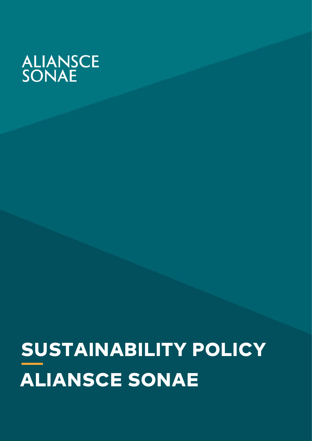# ALIANSCE<br>SONAE

# SUSTAINABILITY POLICY **ALIANSCE SONAE**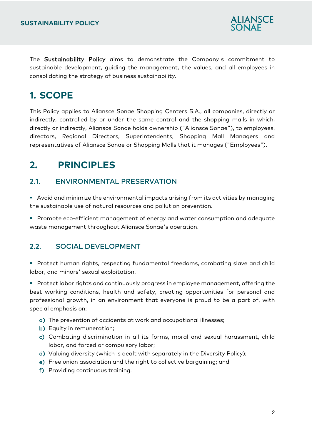

The Sustainability Policy aims to demonstrate the Company's commitment to sustainable development, guiding the management, the values, and all employees in consolidating the strategy of business sustainability.

# **1. SCOPE**

This Policy applies to Aliansce Sonae Shopping Centers S.A., all companies, directly or indirectly, controlled by or under the same control and the shopping malls in which, directly or indirectly, Aliansce Sonae holds ownership ("Aliansce Sonae"), to employees, directors, Regional Directors, Superintendents, Shopping Mall Managers and representatives of Aliansce Sonae or Shopping Malls that it manages ("Employees").

# **2. PRINCIPLES**

#### 2.1. ENVIRONMENTAL PRESERVATION

 Avoid and minimize the environmental impacts arising from its activities by managing the sustainable use of natural resources and pollution prevention.

**Promote eco-efficient management of energy and water consumption and adequate** waste management throughout Aliansce Sonae's operation.

#### 2.2. SOCIAL DEVELOPMENT

 Protect human rights, respecting fundamental freedoms, combating slave and child labor, and minors' sexual exploitation.

**Protect labor rights and continuously progress in employee management, offering the** best working conditions, health and safety, creating opportunities for personal and professional growth, in an environment that everyone is proud to be a part of, with special emphasis on:

- a) The prevention of accidents at work and occupational illnesses;
- b) Equity in remuneration;
- c) Combating discrimination in all its forms, moral and sexual harassment, child labor, and forced or compulsory labor;
- d) Valuing diversity (which is dealt with separately in the Diversity Policy);
- e) Free union association and the right to collective bargaining; and
- f) Providing continuous training.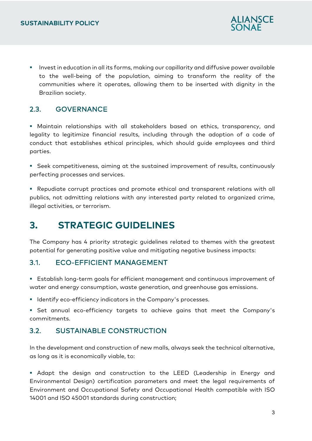

**Invest in education in all its forms, making our capillarity and diffusive power available** to the well-being of the population, aiming to transform the reality of the communities where it operates, allowing them to be inserted with dignity in the Brazilian society.

#### 2.3. GOVERNANCE

 Maintain relationships with all stakeholders based on ethics, transparency, and legality to legitimize financial results, including through the adoption of a code of conduct that establishes ethical principles, which should guide employees and third parties.

 Seek competitiveness, aiming at the sustained improvement of results, continuously perfecting processes and services.

 Repudiate corrupt practices and promote ethical and transparent relations with all publics, not admitting relations with any interested party related to organized crime, illegal activities, or terrorism.

### **3. STRATEGIC GUIDELINES**

The Company has 4 priority strategic guidelines related to themes with the greatest potential for generating positive value and mitigating negative business impacts:

#### 3.1. ECO-EFFICIENT MANAGEMENT

 Establish long-term goals for efficient management and continuous improvement of water and energy consumption, waste generation, and greenhouse gas emissions.

**IDENTIFY ECO-efficiency indicators in the Company's processes.** 

 Set annual eco-efficiency targets to achieve gains that meet the Company's commitments.

#### 3.2. SUSTAINABLE CONSTRUCTION

In the development and construction of new malls, always seek the technical alternative, as long as it is economically viable, to:

 Adapt the design and construction to the LEED (Leadership in Energy and Environmental Design) certification parameters and meet the legal requirements of Environment and Occupational Safety and Occupational Health compatible with ISO 14001 and ISO 45001 standards during construction;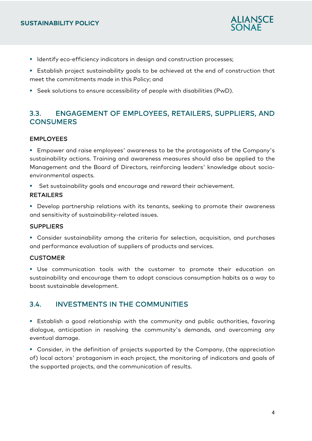

- **IDENTIFY EXAM** Indicators in design and construction processes;
- Establish project sustainability goals to be achieved at the end of construction that meet the commitments made in this Policy; and
- Seek solutions to ensure accessibility of people with disabilities (PwD).

#### 3.3. ENGAGEMENT OF EMPLOYEES, RETAILERS, SUPPLIERS, AND **CONSUMERS**

#### EMPLOYEES

 Empower and raise employees' awareness to be the protagonists of the Company's sustainability actions. Training and awareness measures should also be applied to the Management and the Board of Directors, reinforcing leaders' knowledge about socioenvironmental aspects.

Set sustainability goals and encourage and reward their achievement.

#### RETAILERS

 Develop partnership relations with its tenants, seeking to promote their awareness and sensitivity of sustainability-related issues.

#### SUPPLIERS

 Consider sustainability among the criteria for selection, acquisition, and purchases and performance evaluation of suppliers of products and services.

#### **CUSTOMER**

 Use communication tools with the customer to promote their education on sustainability and encourage them to adopt conscious consumption habits as a way to boost sustainable development.

#### 3.4. INVESTMENTS IN THE COMMUNITIES

 Establish a good relationship with the community and public authorities, favoring dialogue, anticipation in resolving the community's demands, and overcoming any eventual damage.

 Consider, in the definition of projects supported by the Company, (the appreciation of) local actors' protagonism in each project, the monitoring of indicators and goals of the supported projects, and the communication of results.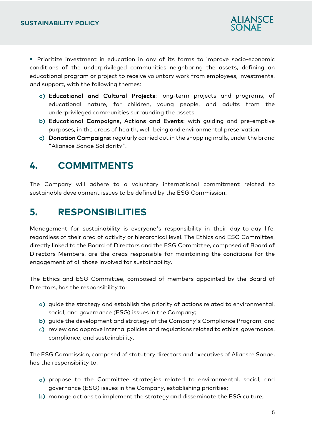

**Prioritize investment in education in any of its forms to improve socio-economic** conditions of the underprivileged communities neighboring the assets, defining an educational program or project to receive voluntary work from employees, investments, and support, with the following themes:

- a) Educational and Cultural Projects: long-term projects and programs, of educational nature, for children, young people, and adults from the underprivileged communities surrounding the assets.
- b) Educational Campaigns, Actions and Events: with guiding and pre-emptive purposes, in the areas of health, well-being and environmental preservation.
- c) Donation Campaigns: regularly carried out in the shopping malls, under the brand "Aliansce Sonae Solidarity".

## **4. COMMITMENTS**

The Company will adhere to a voluntary international commitment related to sustainable development issues to be defined by the ESG Commission.

# **5. RESPONSIBILITIES**

Management for sustainability is everyone's responsibility in their day-to-day life, regardless of their area of activity or hierarchical level. The Ethics and ESG Committee, directly linked to the Board of Directors and the ESG Committee, composed of Board of Directors Members, are the areas responsible for maintaining the conditions for the engagement of all those involved for sustainability.

The Ethics and ESG Committee, composed of members appointed by the Board of Directors, has the responsibility to:

- a) guide the strategy and establish the priority of actions related to environmental, social, and governance (ESG) issues in the Company;
- b) guide the development and strategy of the Company's Compliance Program; and
- c) review and approve internal policies and regulations related to ethics, governance, compliance, and sustainability.

The ESG Commission, composed of statutory directors and executives of Aliansce Sonae, has the responsibility to:

- a) propose to the Committee strategies related to environmental, social, and governance (ESG) issues in the Company, establishing priorities;
- b) manage actions to implement the strategy and disseminate the ESG culture;